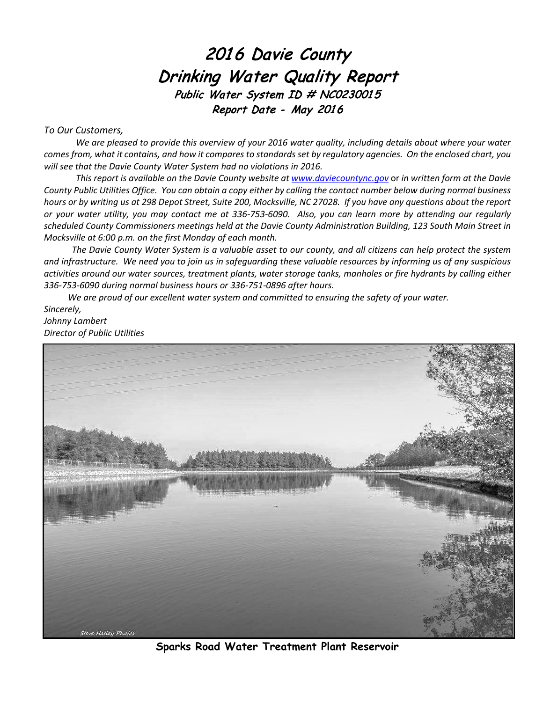# 2016 Davie County Drinking Water Quality Report Public Water System ID # NC0230015 Report Date - May 2016

#### *To Our Customers,*

*We are pleased to provide this overview of your 2016 water quality, including details about where your water comes from, what it contains, and how it compares to standards set by regulatory agencies. On the enclosed chart, you will see that the Davie County Water System had no violations in 2016.*

*This report is available on the Davie County website a[t www.daviecountync.gov](http://www.daviecountync.gov/)* or *in written form at the Davie County Public Utilities Office. You can obtain a copy either by calling the contact number below during normal business hours or by writing us at 298 Depot Street, Suite 200, Mocksville, NC 27028. If you have any questions about the report or your water utility, you may contact me at 336-753-6090. Also, you can learn more by attending our regularly scheduled County Commissioners meetings held at the Davie County Administration Building, 123 South Main Street in Mocksville at 6:00 p.m. on the first Monday of each month.*

*The Davie County Water System is a valuable asset to our county, and all citizens can help protect the system and infrastructure. We need you to join us in safeguarding these valuable resources by informing us of any suspicious activities around our water sources, treatment plants, water storage tanks, manholes or fire hydrants by calling either 336-753-6090 during normal business hours or 336-751-0896 after hours.*

*We are proud of our excellent water system and committed to ensuring the safety of your water. Sincerely, Johnny Lambert Director of Public Utilities*



**Sparks Road Water Treatment Plant Reservoir**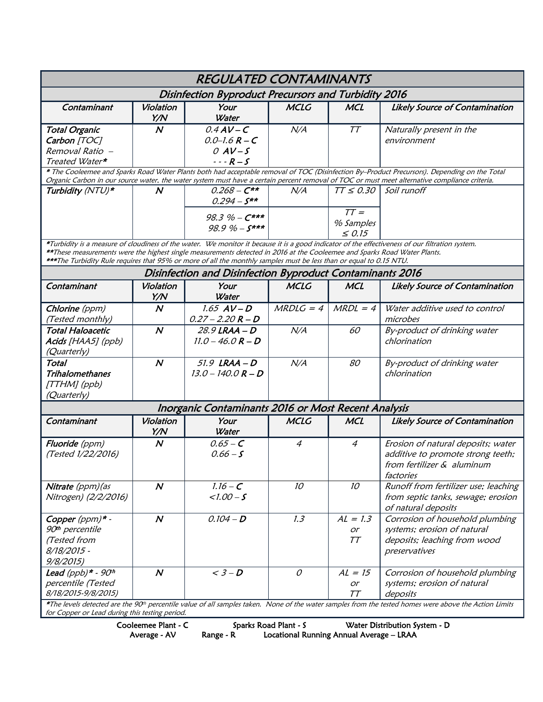| <b>REGULATED CONTAMINANTS</b>                                                                                                                                                                                                                                                                                                                                                                      |                  |                                                                         |                 |                                                      |                                                                                                                    |  |  |  |  |  |
|----------------------------------------------------------------------------------------------------------------------------------------------------------------------------------------------------------------------------------------------------------------------------------------------------------------------------------------------------------------------------------------------------|------------------|-------------------------------------------------------------------------|-----------------|------------------------------------------------------|--------------------------------------------------------------------------------------------------------------------|--|--|--|--|--|
| Disinfection Byproduct Precursors and Turbidity 2016                                                                                                                                                                                                                                                                                                                                               |                  |                                                                         |                 |                                                      |                                                                                                                    |  |  |  |  |  |
| Contaminant                                                                                                                                                                                                                                                                                                                                                                                        | Violation<br>Y/N | Your<br>Water                                                           | <b>MCLG</b>     | <b>MCL</b>                                           | <b>Likely Source of Contamination</b>                                                                              |  |  |  |  |  |
| <b>Total Organic</b><br>Carbon [TOC]<br>Removal Ratio -<br>Treated Water*                                                                                                                                                                                                                                                                                                                          | $\boldsymbol{N}$ | $0.4AV-C$<br>$0.0 - 1.6 R - C$<br>$OAV-S$<br>$- - R - S$                | N/A             | TT                                                   | Naturally present in the<br>environment                                                                            |  |  |  |  |  |
| * The Cooleemee and Sparks Road Water Plants both had acceptable removal of TOC (Disinfection By-Product Precursors). Depending on the Total<br>Organic Carbon in our source water, the water system must have a certain percent removal of TOC or must meet alternative compliance criteria.                                                                                                      |                  |                                                                         |                 |                                                      |                                                                                                                    |  |  |  |  |  |
| Turbidity (NTU)*                                                                                                                                                                                                                                                                                                                                                                                   | N                | $0.268 - C**$<br>$0.294 - S^{**}$<br>$98.3\% - C***$<br>$98.9\% - S***$ | N/A             | $TT \leq 0.30$<br>$TT =$<br>% Samples<br>$\leq$ 0.15 | Soil runoff                                                                                                        |  |  |  |  |  |
| *Turbidity is a measure of cloudiness of the water. We monitor it because it is a good indicator of the effectiveness of our filtration system.<br>**These measurements were the highest single measurements detected in 2016 at the Cooleemee and Sparks Road Water Plants.<br>***The Turbidity Rule requires that 95% or more of all the monthly samples must be less than or equal to 0.15 NTU. |                  |                                                                         |                 |                                                      |                                                                                                                    |  |  |  |  |  |
|                                                                                                                                                                                                                                                                                                                                                                                                    |                  | Disinfection and Disinfection Byproduct Contaminants 2016               |                 |                                                      |                                                                                                                    |  |  |  |  |  |
| Contaminant                                                                                                                                                                                                                                                                                                                                                                                        | Violation<br>Y/N | Your<br><b>Water</b>                                                    | <b>MCLG</b>     | <b>MCL</b>                                           | <b>Likely Source of Contamination</b>                                                                              |  |  |  |  |  |
| Chlorine (ppm)<br>(Tested monthly)                                                                                                                                                                                                                                                                                                                                                                 | $\boldsymbol{N}$ | $1.65$ $AV-D$<br>$0.27 - 2.20 R - D$                                    | $MRDLG = 4$     | $MRDL = 4$                                           | Water additive used to control<br>microbes                                                                         |  |  |  |  |  |
| <b>Total Haloacetic</b><br>Acids [HAA5] (ppb)<br>(Quarterly)                                                                                                                                                                                                                                                                                                                                       | $\boldsymbol{N}$ | 28.9 LRAA - D<br>$11.0 - 46.0 R - D$                                    | N/A             | 60                                                   | By-product of drinking water<br>chlorination                                                                       |  |  |  |  |  |
| Total<br><b>Trihalomethanes</b><br>[TTHM] (ppb)<br>(Quarterly)                                                                                                                                                                                                                                                                                                                                     | $\boldsymbol{N}$ | $51.9$ LRAA - D<br>$13.0 - 140.0 R - D$                                 | N/A             | 80                                                   | By-product of drinking water<br>chlorination                                                                       |  |  |  |  |  |
| Inorganic Contaminants 2016 or Most Recent Analysis                                                                                                                                                                                                                                                                                                                                                |                  |                                                                         |                 |                                                      |                                                                                                                    |  |  |  |  |  |
| Contaminant                                                                                                                                                                                                                                                                                                                                                                                        | Violation<br>Y/N | Your<br>Water                                                           | <b>MCLG</b>     | <b>MCL</b>                                           | <b>Likely Source of Contamination</b>                                                                              |  |  |  |  |  |
| Fluoride (ppm)<br>(Tested 1/22/2016)                                                                                                                                                                                                                                                                                                                                                               | $\boldsymbol{N}$ | $0.65 - C$<br>$0.66 - S$                                                | 4               | 4                                                    | Erosion of natural deposits; water<br>additive to promote strong teeth;<br>from fertilizer & aluminum<br>factories |  |  |  |  |  |
| Nitrate (ppm) (as<br>Nitrogen) (2/2/2016)                                                                                                                                                                                                                                                                                                                                                          | $\boldsymbol{N}$ | $1.16 - C$<br>$1.00 - S$                                                | 10 <sup>°</sup> | 10                                                   | Runoff from fertilizer use; leaching<br>from septic tanks, sewage; erosion<br>of natural deposits                  |  |  |  |  |  |
| Copper (ppm)* -<br>90 <sup>th</sup> percentile<br>(Tested from<br>8/18/2015 -<br>9/8/2015)                                                                                                                                                                                                                                                                                                         | $\boldsymbol{N}$ | $0.104 - D$                                                             | 1.3             | $AL = 1.3$<br>or<br>TT                               | Corrosion of household plumbing<br>systems; erosion of natural<br>deposits; leaching from wood<br>preservatives    |  |  |  |  |  |
| Lead (ppb)* - $90th$<br>percentile (Tested<br>8/18/2015-9/8/2015)                                                                                                                                                                                                                                                                                                                                  | $\boldsymbol{N}$ | $\overline{\left. < 3 - D \right.}$                                     | $\mathcal O$    | $AL = 15$<br>or<br>TT                                | Corrosion of household plumbing<br>systems; erosion of natural<br>deposits                                         |  |  |  |  |  |
| *The levels detected are the 90 <sup>th</sup> percentile value of all samples taken. None of the water samples from the tested homes were above the Action Limits<br>for Copper or Lead during this testing period.                                                                                                                                                                                |                  |                                                                         |                 |                                                      |                                                                                                                    |  |  |  |  |  |

Cooleemee Plant - C Sparks Road Plant - S Water Distribution System - D

Average - AV Range - R Locational Running Annual Average – LRAA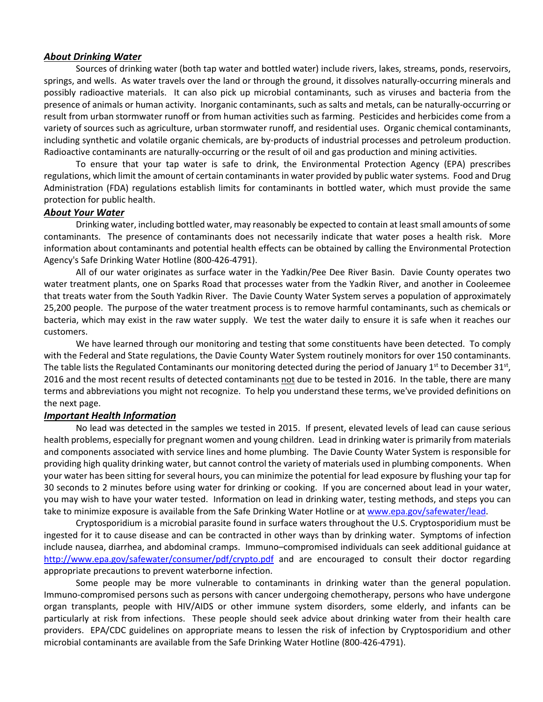#### *About Drinking Water*

Sources of drinking water (both tap water and bottled water) include rivers, lakes, streams, ponds, reservoirs, springs, and wells. As water travels over the land or through the ground, it dissolves naturally-occurring minerals and possibly radioactive materials. It can also pick up microbial contaminants, such as viruses and bacteria from the presence of animals or human activity. Inorganic contaminants, such as salts and metals, can be naturally-occurring or result from urban stormwater runoff or from human activities such as farming. Pesticides and herbicides come from a variety of sources such as agriculture, urban stormwater runoff, and residential uses. Organic chemical contaminants, including synthetic and volatile organic chemicals, are by-products of industrial processes and petroleum production. Radioactive contaminants are naturally-occurring or the result of oil and gas production and mining activities.

To ensure that your tap water is safe to drink, the Environmental Protection Agency (EPA) prescribes regulations, which limit the amount of certain contaminants in water provided by public water systems. Food and Drug Administration (FDA) regulations establish limits for contaminants in bottled water, which must provide the same protection for public health.

### *About Your Water*

Drinking water, including bottled water, may reasonably be expected to contain at least small amounts of some contaminants. The presence of contaminants does not necessarily indicate that water poses a health risk. More information about contaminants and potential health effects can be obtained by calling the Environmental Protection Agency's Safe Drinking Water Hotline (800-426-4791).

All of our water originates as surface water in the Yadkin/Pee Dee River Basin. Davie County operates two water treatment plants, one on Sparks Road that processes water from the Yadkin River, and another in Cooleemee that treats water from the South Yadkin River. The Davie County Water System serves a population of approximately 25,200 people. The purpose of the water treatment process is to remove harmful contaminants, such as chemicals or bacteria, which may exist in the raw water supply. We test the water daily to ensure it is safe when it reaches our customers.

We have learned through our monitoring and testing that some constituents have been detected. To comply with the Federal and State regulations, the Davie County Water System routinely monitors for over 150 contaminants. The table lists the Regulated Contaminants our monitoring detected during the period of January 1<sup>st</sup> to December 31<sup>st</sup>, 2016 and the most recent results of detected contaminants not due to be tested in 2016. In the table, there are many terms and abbreviations you might not recognize. To help you understand these terms, we've provided definitions on the next page.

#### *Important Health Information*

No lead was detected in the samples we tested in 2015. If present, elevated levels of lead can cause serious health problems, especially for pregnant women and young children. Lead in drinking water is primarily from materials and components associated with service lines and home plumbing. The Davie County Water System is responsible for providing high quality drinking water, but cannot control the variety of materials used in plumbing components. When your water has been sitting for several hours, you can minimize the potential for lead exposure by flushing your tap for 30 seconds to 2 minutes before using water for drinking or cooking. If you are concerned about lead in your water, you may wish to have your water tested. Information on lead in drinking water, testing methods, and steps you can take to minimize exposure is available from the Safe Drinking Water Hotline or at www.epa.gov/safewater/lead.

Cryptosporidium is a microbial parasite found in surface waters throughout the U.S. Cryptosporidium must be ingested for it to cause disease and can be contracted in other ways than by drinking water. Symptoms of infection include nausea, diarrhea, and abdominal cramps. Immuno–compromised individuals can seek additional guidance at <http://www.epa.gov/safewater/consumer/pdf/crypto.pdf> and are encouraged to consult their doctor regarding appropriate precautions to prevent waterborne infection.

Some people may be more vulnerable to contaminants in drinking water than the general population. Immuno-compromised persons such as persons with cancer undergoing chemotherapy, persons who have undergone organ transplants, people with HIV/AIDS or other immune system disorders, some elderly, and infants can be particularly at risk from infections. These people should seek advice about drinking water from their health care providers. EPA/CDC guidelines on appropriate means to lessen the risk of infection by Cryptosporidium and other microbial contaminants are available from the Safe Drinking Water Hotline (800-426-4791).